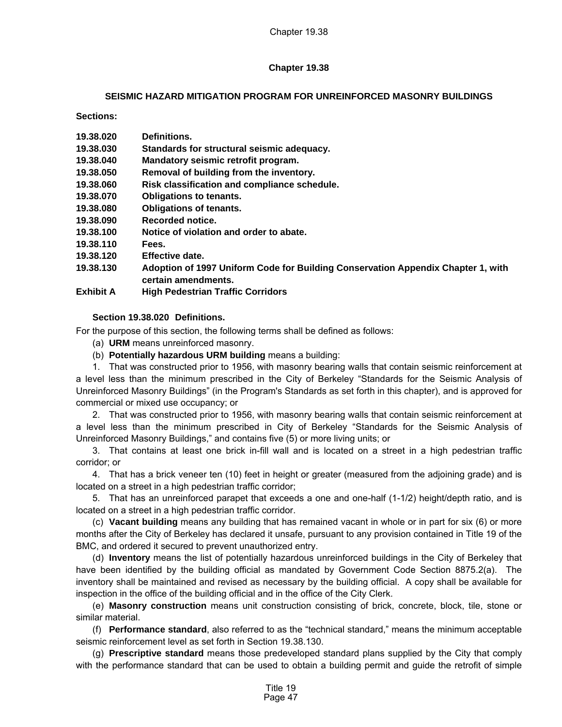# **Chapter 19.38**

# **SEISMIC HAZARD MITIGATION PROGRAM FOR UNREINFORCED MASONRY BUILDINGS**

**Sections:** 

| 19.38.020 | Definitions. |
|-----------|--------------|
|-----------|--------------|

- **19.38.030 Standards for structural seismic adequacy.**
- **19.38.040 Mandatory seismic retrofit program.**
- **19.38.050 Removal of building from the inventory.**
- **19.38.060 Risk classification and compliance schedule.**
- **19.38.070 Obligations to tenants.**
- **19.38.080 Obligations of tenants.**
- **19.38.090 Recorded notice.**
- **19.38.100 Notice of violation and order to abate.**
- **19.38.110 Fees.**
- **19.38.120 Effective date.**
- **19.38.130 Adoption of 1997 Uniform Code for Building Conservation Appendix Chapter 1, with certain amendments.**
- **Exhibit A High Pedestrian Traffic Corridors**

# **Section 19.38.020 Definitions.**

For the purpose of this section, the following terms shall be defined as follows:

- (a) **URM** means unreinforced masonry.
- (b) **Potentially hazardous URM building** means a building:

1. That was constructed prior to 1956, with masonry bearing walls that contain seismic reinforcement at a level less than the minimum prescribed in the City of Berkeley "Standards for the Seismic Analysis of Unreinforced Masonry Buildings" (in the Program's Standards as set forth in this chapter), and is approved for commercial or mixed use occupancy; or

2. That was constructed prior to 1956, with masonry bearing walls that contain seismic reinforcement at a level less than the minimum prescribed in City of Berkeley "Standards for the Seismic Analysis of Unreinforced Masonry Buildings," and contains five (5) or more living units; or

3. That contains at least one brick in-fill wall and is located on a street in a high pedestrian traffic corridor; or

4. That has a brick veneer ten (10) feet in height or greater (measured from the adjoining grade) and is located on a street in a high pedestrian traffic corridor;

5. That has an unreinforced parapet that exceeds a one and one-half (1-1/2) height/depth ratio, and is located on a street in a high pedestrian traffic corridor.

(c) **Vacant building** means any building that has remained vacant in whole or in part for six (6) or more months after the City of Berkeley has declared it unsafe, pursuant to any provision contained in Title 19 of the BMC, and ordered it secured to prevent unauthorized entry.

(d) **Inventory** means the list of potentially hazardous unreinforced buildings in the City of Berkeley that have been identified by the building official as mandated by Government Code Section 8875.2(a). The inventory shall be maintained and revised as necessary by the building official. A copy shall be available for inspection in the office of the building official and in the office of the City Clerk.

(e) **Masonry construction** means unit construction consisting of brick, concrete, block, tile, stone or similar material.

(f) **Performance standard**, also referred to as the "technical standard," means the minimum acceptable seismic reinforcement level as set forth in Section 19.38.130.

(g) **Prescriptive standard** means those predeveloped standard plans supplied by the City that comply with the performance standard that can be used to obtain a building permit and guide the retrofit of simple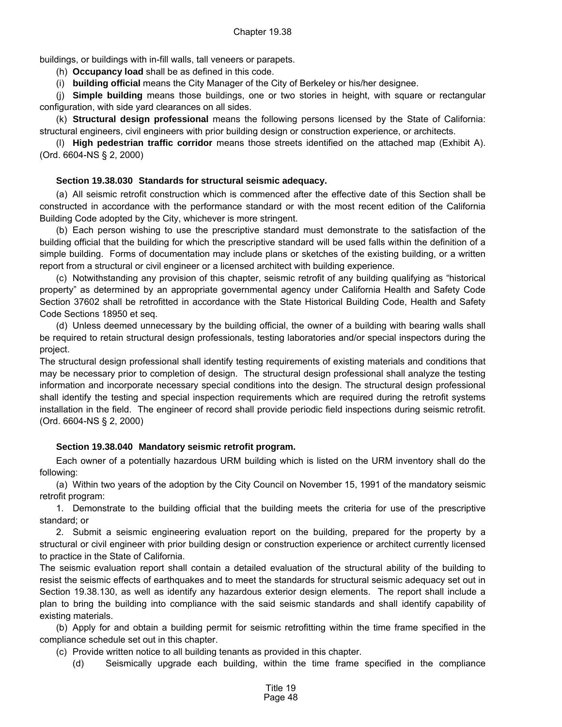buildings, or buildings with in-fill walls, tall veneers or parapets.

(h) **Occupancy load** shall be as defined in this code.

(i) **building official** means the City Manager of the City of Berkeley or his/her designee.

(j) **Simple building** means those buildings, one or two stories in height, with square or rectangular configuration, with side yard clearances on all sides.

(k) **Structural design professional** means the following persons licensed by the State of California: structural engineers, civil engineers with prior building design or construction experience, or architects.

(l) **High pedestrian traffic corridor** means those streets identified on the attached map (Exhibit A). (Ord. 6604-NS § 2, 2000)

## **Section 19.38.030 Standards for structural seismic adequacy.**

(a) All seismic retrofit construction which is commenced after the effective date of this Section shall be constructed in accordance with the performance standard or with the most recent edition of the California Building Code adopted by the City, whichever is more stringent.

(b) Each person wishing to use the prescriptive standard must demonstrate to the satisfaction of the building official that the building for which the prescriptive standard will be used falls within the definition of a simple building. Forms of documentation may include plans or sketches of the existing building, or a written report from a structural or civil engineer or a licensed architect with building experience.

(c) Notwithstanding any provision of this chapter, seismic retrofit of any building qualifying as "historical property" as determined by an appropriate governmental agency under California Health and Safety Code Section 37602 shall be retrofitted in accordance with the State Historical Building Code, Health and Safety Code Sections 18950 et seq.

(d) Unless deemed unnecessary by the building official, the owner of a building with bearing walls shall be required to retain structural design professionals, testing laboratories and/or special inspectors during the project.

The structural design professional shall identify testing requirements of existing materials and conditions that may be necessary prior to completion of design. The structural design professional shall analyze the testing information and incorporate necessary special conditions into the design. The structural design professional shall identify the testing and special inspection requirements which are required during the retrofit systems installation in the field. The engineer of record shall provide periodic field inspections during seismic retrofit. (Ord. 6604-NS § 2, 2000)

## **Section 19.38.040 Mandatory seismic retrofit program.**

Each owner of a potentially hazardous URM building which is listed on the URM inventory shall do the following:

(a) Within two years of the adoption by the City Council on November 15, 1991 of the mandatory seismic retrofit program:

1. Demonstrate to the building official that the building meets the criteria for use of the prescriptive standard; or

2. Submit a seismic engineering evaluation report on the building, prepared for the property by a structural or civil engineer with prior building design or construction experience or architect currently licensed to practice in the State of California.

The seismic evaluation report shall contain a detailed evaluation of the structural ability of the building to resist the seismic effects of earthquakes and to meet the standards for structural seismic adequacy set out in Section 19.38.130, as well as identify any hazardous exterior design elements. The report shall include a plan to bring the building into compliance with the said seismic standards and shall identify capability of existing materials.

(b) Apply for and obtain a building permit for seismic retrofitting within the time frame specified in the compliance schedule set out in this chapter.

(c) Provide written notice to all building tenants as provided in this chapter.

(d) Seismically upgrade each building, within the time frame specified in the compliance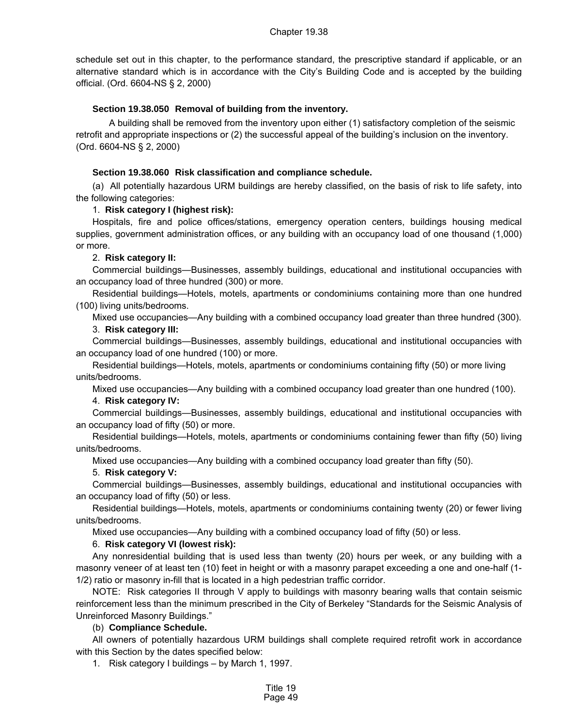schedule set out in this chapter, to the performance standard, the prescriptive standard if applicable, or an alternative standard which is in accordance with the City's Building Code and is accepted by the building official. (Ord. 6604-NS § 2, 2000)

## **Section 19.38.050 Removal of building from the inventory.**

A building shall be removed from the inventory upon either (1) satisfactory completion of the seismic retrofit and appropriate inspections or (2) the successful appeal of the building's inclusion on the inventory. (Ord. 6604-NS § 2, 2000)

## **Section 19.38.060 Risk classification and compliance schedule.**

(a) All potentially hazardous URM buildings are hereby classified, on the basis of risk to life safety, into the following categories:

## 1. **Risk category I (highest risk):**

Hospitals, fire and police offices/stations, emergency operation centers, buildings housing medical supplies, government administration offices, or any building with an occupancy load of one thousand (1,000) or more.

## 2. **Risk category II:**

Commercial buildings—Businesses, assembly buildings, educational and institutional occupancies with an occupancy load of three hundred (300) or more.

Residential buildings—Hotels, motels, apartments or condominiums containing more than one hundred (100) living units/bedrooms.

Mixed use occupancies—Any building with a combined occupancy load greater than three hundred (300).

### 3. **Risk category III:**

Commercial buildings—Businesses, assembly buildings, educational and institutional occupancies with an occupancy load of one hundred (100) or more.

Residential buildings—Hotels, motels, apartments or condominiums containing fifty (50) or more living units/bedrooms.

Mixed use occupancies—Any building with a combined occupancy load greater than one hundred (100).

### 4. **Risk category IV:**

Commercial buildings—Businesses, assembly buildings, educational and institutional occupancies with an occupancy load of fifty (50) or more.

Residential buildings—Hotels, motels, apartments or condominiums containing fewer than fifty (50) living units/bedrooms.

Mixed use occupancies—Any building with a combined occupancy load greater than fifty (50).

### 5. **Risk category V:**

Commercial buildings—Businesses, assembly buildings, educational and institutional occupancies with an occupancy load of fifty (50) or less.

Residential buildings—Hotels, motels, apartments or condominiums containing twenty (20) or fewer living units/bedrooms.

Mixed use occupancies—Any building with a combined occupancy load of fifty (50) or less.

### 6. **Risk category VI (lowest risk):**

Any nonresidential building that is used less than twenty (20) hours per week, or any building with a masonry veneer of at least ten (10) feet in height or with a masonry parapet exceeding a one and one-half (1- 1/2) ratio or masonry in-fill that is located in a high pedestrian traffic corridor.

NOTE: Risk categories II through V apply to buildings with masonry bearing walls that contain seismic reinforcement less than the minimum prescribed in the City of Berkeley "Standards for the Seismic Analysis of Unreinforced Masonry Buildings."

### (b) **Compliance Schedule.**

All owners of potentially hazardous URM buildings shall complete required retrofit work in accordance with this Section by the dates specified below:

1. Risk category I buildings – by March 1, 1997.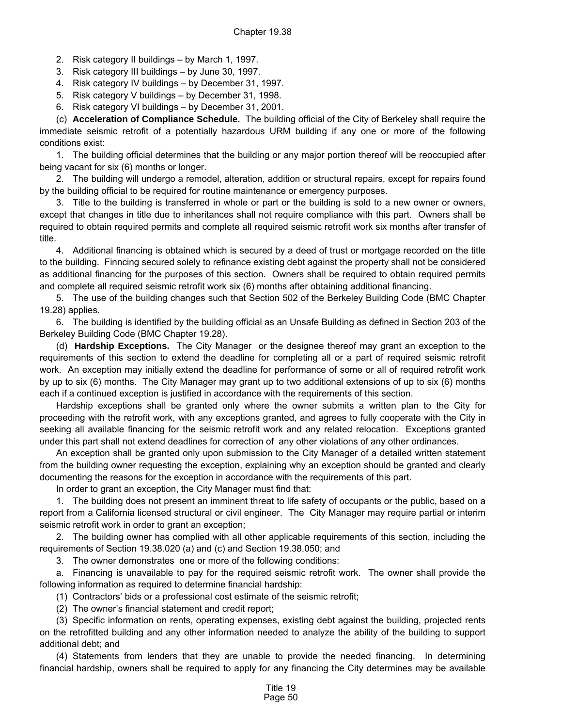- 2. Risk category II buildings by March 1, 1997.
- 3. Risk category III buildings by June 30, 1997.
- 4. Risk category IV buildings by December 31, 1997.
- 5. Risk category V buildings by December 31, 1998.
- 6. Risk category VI buildings by December 31, 2001.

(c) **Acceleration of Compliance Schedule.** The building official of the City of Berkeley shall require the immediate seismic retrofit of a potentially hazardous URM building if any one or more of the following conditions exist:

1. The building official determines that the building or any major portion thereof will be reoccupied after being vacant for six (6) months or longer.

2. The building will undergo a remodel, alteration, addition or structural repairs, except for repairs found by the building official to be required for routine maintenance or emergency purposes.

3. Title to the building is transferred in whole or part or the building is sold to a new owner or owners, except that changes in title due to inheritances shall not require compliance with this part. Owners shall be required to obtain required permits and complete all required seismic retrofit work six months after transfer of title.

4. Additional financing is obtained which is secured by a deed of trust or mortgage recorded on the title to the building. Finncing secured solely to refinance existing debt against the property shall not be considered as additional financing for the purposes of this section. Owners shall be required to obtain required permits and complete all required seismic retrofit work six (6) months after obtaining additional financing.

5. The use of the building changes such that Section 502 of the Berkeley Building Code (BMC Chapter 19.28) applies.

6. The building is identified by the building official as an Unsafe Building as defined in Section 203 of the Berkeley Building Code (BMC Chapter 19.28).

(d) **Hardship Exceptions.** The City Manager or the designee thereof may grant an exception to the requirements of this section to extend the deadline for completing all or a part of required seismic retrofit work. An exception may initially extend the deadline for performance of some or all of required retrofit work by up to six (6) months. The City Manager may grant up to two additional extensions of up to six (6) months each if a continued exception is justified in accordance with the requirements of this section.

Hardship exceptions shall be granted only where the owner submits a written plan to the City for proceeding with the retrofit work, with any exceptions granted, and agrees to fully cooperate with the City in seeking all available financing for the seismic retrofit work and any related relocation. Exceptions granted under this part shall not extend deadlines for correction of any other violations of any other ordinances.

An exception shall be granted only upon submission to the City Manager of a detailed written statement from the building owner requesting the exception, explaining why an exception should be granted and clearly documenting the reasons for the exception in accordance with the requirements of this part.

In order to grant an exception, the City Manager must find that:

1. The building does not present an imminent threat to life safety of occupants or the public, based on a report from a California licensed structural or civil engineer. The City Manager may require partial or interim seismic retrofit work in order to grant an exception;

2. The building owner has complied with all other applicable requirements of this section, including the requirements of Section 19.38.020 (a) and (c) and Section 19.38.050; and

3. The owner demonstrates one or more of the following conditions:

a. Financing is unavailable to pay for the required seismic retrofit work. The owner shall provide the following information as required to determine financial hardship:

(1) Contractors' bids or a professional cost estimate of the seismic retrofit;

(2) The owner's financial statement and credit report;

(3) Specific information on rents, operating expenses, existing debt against the building, projected rents on the retrofitted building and any other information needed to analyze the ability of the building to support additional debt; and

(4) Statements from lenders that they are unable to provide the needed financing. In determining financial hardship, owners shall be required to apply for any financing the City determines may be available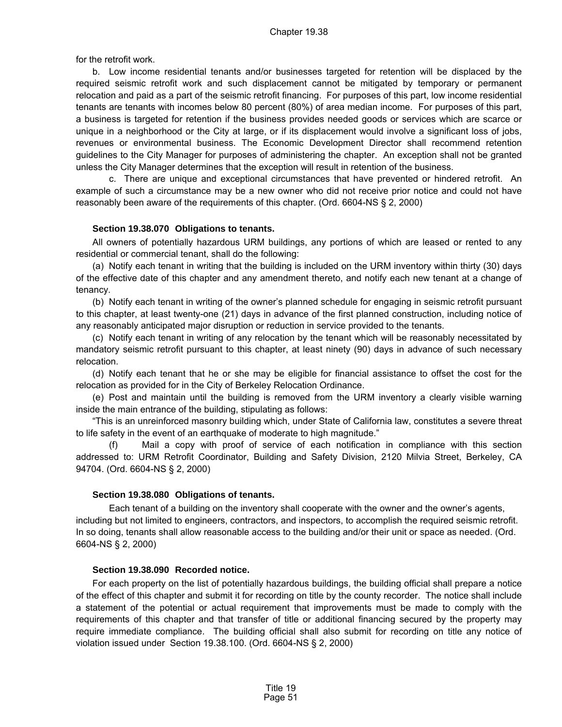for the retrofit work.

b. Low income residential tenants and/or businesses targeted for retention will be displaced by the required seismic retrofit work and such displacement cannot be mitigated by temporary or permanent relocation and paid as a part of the seismic retrofit financing. For purposes of this part, low income residential tenants are tenants with incomes below 80 percent (80%) of area median income. For purposes of this part, a business is targeted for retention if the business provides needed goods or services which are scarce or unique in a neighborhood or the City at large, or if its displacement would involve a significant loss of jobs, revenues or environmental business. The Economic Development Director shall recommend retention guidelines to the City Manager for purposes of administering the chapter. An exception shall not be granted unless the City Manager determines that the exception will result in retention of the business.

c. There are unique and exceptional circumstances that have prevented or hindered retrofit. An example of such a circumstance may be a new owner who did not receive prior notice and could not have reasonably been aware of the requirements of this chapter. (Ord. 6604-NS § 2, 2000)

### **Section 19.38.070 Obligations to tenants.**

All owners of potentially hazardous URM buildings, any portions of which are leased or rented to any residential or commercial tenant, shall do the following:

(a) Notify each tenant in writing that the building is included on the URM inventory within thirty (30) days of the effective date of this chapter and any amendment thereto, and notify each new tenant at a change of tenancy.

(b) Notify each tenant in writing of the owner's planned schedule for engaging in seismic retrofit pursuant to this chapter, at least twenty-one (21) days in advance of the first planned construction, including notice of any reasonably anticipated major disruption or reduction in service provided to the tenants.

(c) Notify each tenant in writing of any relocation by the tenant which will be reasonably necessitated by mandatory seismic retrofit pursuant to this chapter, at least ninety (90) days in advance of such necessary relocation.

(d) Notify each tenant that he or she may be eligible for financial assistance to offset the cost for the relocation as provided for in the City of Berkeley Relocation Ordinance.

(e) Post and maintain until the building is removed from the URM inventory a clearly visible warning inside the main entrance of the building, stipulating as follows:

"This is an unreinforced masonry building which, under State of California law, constitutes a severe threat to life safety in the event of an earthquake of moderate to high magnitude."

(f) Mail a copy with proof of service of each notification in compliance with this section addressed to: URM Retrofit Coordinator, Building and Safety Division, 2120 Milvia Street, Berkeley, CA 94704. (Ord. 6604-NS § 2, 2000)

### **Section 19.38.080 Obligations of tenants.**

Each tenant of a building on the inventory shall cooperate with the owner and the owner's agents, including but not limited to engineers, contractors, and inspectors, to accomplish the required seismic retrofit. In so doing, tenants shall allow reasonable access to the building and/or their unit or space as needed. (Ord. 6604-NS § 2, 2000)

#### **Section 19.38.090 Recorded notice.**

For each property on the list of potentially hazardous buildings, the building official shall prepare a notice of the effect of this chapter and submit it for recording on title by the county recorder. The notice shall include a statement of the potential or actual requirement that improvements must be made to comply with the requirements of this chapter and that transfer of title or additional financing secured by the property may require immediate compliance. The building official shall also submit for recording on title any notice of violation issued under Section 19.38.100. (Ord. 6604-NS § 2, 2000)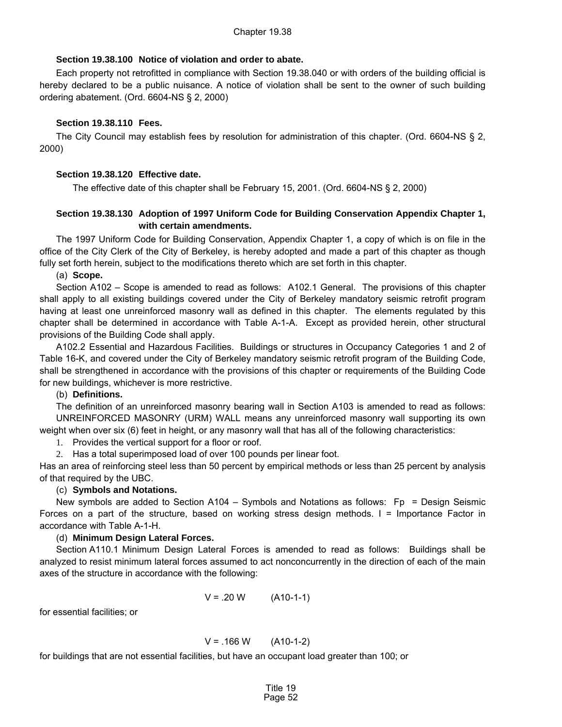## **Section 19.38.100 Notice of violation and order to abate.**

Each property not retrofitted in compliance with Section 19.38.040 or with orders of the building official is hereby declared to be a public nuisance. A notice of violation shall be sent to the owner of such building ordering abatement. (Ord. 6604-NS § 2, 2000)

## **Section 19.38.110 Fees.**

The City Council may establish fees by resolution for administration of this chapter. (Ord. 6604-NS § 2, 2000)

## **Section 19.38.120 Effective date.**

The effective date of this chapter shall be February 15, 2001. (Ord. 6604-NS § 2, 2000)

## **Section 19.38.130 Adoption of 1997 Uniform Code for Building Conservation Appendix Chapter 1, with certain amendments.**

The 1997 Uniform Code for Building Conservation, Appendix Chapter 1, a copy of which is on file in the office of the City Clerk of the City of Berkeley, is hereby adopted and made a part of this chapter as though fully set forth herein, subject to the modifications thereto which are set forth in this chapter.

### (a) **Scope.**

Section A102 – Scope is amended to read as follows: A102.1 General. The provisions of this chapter shall apply to all existing buildings covered under the City of Berkeley mandatory seismic retrofit program having at least one unreinforced masonry wall as defined in this chapter. The elements regulated by this chapter shall be determined in accordance with Table A-1-A. Except as provided herein, other structural provisions of the Building Code shall apply.

A102.2 Essential and Hazardous Facilities. Buildings or structures in Occupancy Categories 1 and 2 of Table 16-K, and covered under the City of Berkeley mandatory seismic retrofit program of the Building Code, shall be strengthened in accordance with the provisions of this chapter or requirements of the Building Code for new buildings, whichever is more restrictive.

## (b) **Definitions.**

The definition of an unreinforced masonry bearing wall in Section A103 is amended to read as follows: UNREINFORCED MASONRY (URM) WALL means any unreinforced masonry wall supporting its own weight when over six (6) feet in height, or any masonry wall that has all of the following characteristics:

1. Provides the vertical support for a floor or roof.

2. Has a total superimposed load of over 100 pounds per linear foot.

Has an area of reinforcing steel less than 50 percent by empirical methods or less than 25 percent by analysis of that required by the UBC.

## (c) **Symbols and Notations.**

New symbols are added to Section A104 – Symbols and Notations as follows: Fp = Design Seismic Forces on a part of the structure, based on working stress design methods. I = Importance Factor in accordance with Table A-1-H.

## (d) **Minimum Design Lateral Forces.**

Section A110.1 Minimum Design Lateral Forces is amended to read as follows: Buildings shall be analyzed to resist minimum lateral forces assumed to act nonconcurrently in the direction of each of the main axes of the structure in accordance with the following:

$$
V = .20 W \t(A10-1-1)
$$

for essential facilities; or

$$
V = .166 \, W \qquad (A10-1-2)
$$

for buildings that are not essential facilities, but have an occupant load greater than 100; or

Title 19 Page 52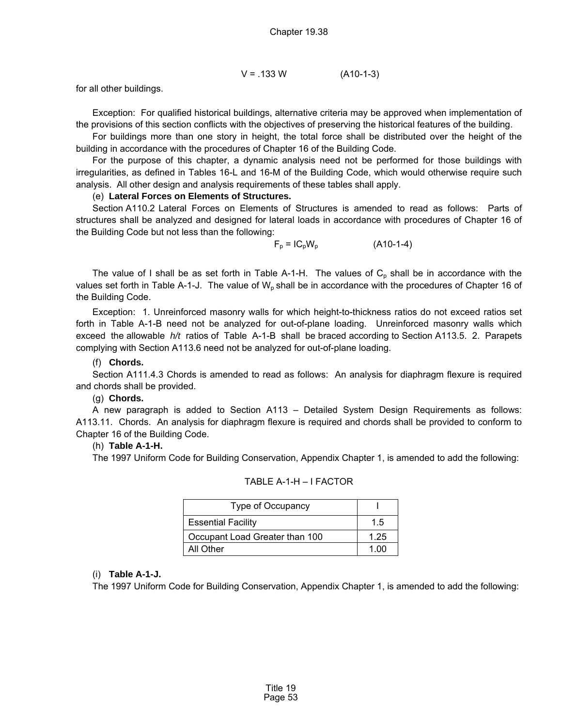$$
V = .133 W
$$
 (A10-1-3)

for all other buildings.

Exception: For qualified historical buildings, alternative criteria may be approved when implementation of the provisions of this section conflicts with the objectives of preserving the historical features of the building.

For buildings more than one story in height, the total force shall be distributed over the height of the building in accordance with the procedures of Chapter 16 of the Building Code.

For the purpose of this chapter, a dynamic analysis need not be performed for those buildings with irregularities, as defined in Tables 16-L and 16-M of the Building Code, which would otherwise require such analysis. All other design and analysis requirements of these tables shall apply.

#### (e) **Lateral Forces on Elements of Structures.**

Section A110.2 Lateral Forces on Elements of Structures is amended to read as follows: Parts of structures shall be analyzed and designed for lateral loads in accordance with procedures of Chapter 16 of the Building Code but not less than the following:

$$
F_p = IC_pW_p \tag{A10-1-4}
$$

The value of I shall be as set forth in Table A-1-H. The values of  $C_p$  shall be in accordance with the values set forth in Table A-1-J. The value of  $W<sub>o</sub>$  shall be in accordance with the procedures of Chapter 16 of the Building Code.

Exception: 1. Unreinforced masonry walls for which height-to-thickness ratios do not exceed ratios set forth in Table A-1-B need not be analyzed for out-of-plane loading. Unreinforced masonry walls which exceed the allowable *h/t* ratios of Table A-1-B shall be braced according to Section A113.5. 2. Parapets complying with Section A113.6 need not be analyzed for out-of-plane loading.

#### (f) **Chords.**

Section A111.4.3 Chords is amended to read as follows: An analysis for diaphragm flexure is required and chords shall be provided.

## (g) **Chords.**

A new paragraph is added to Section A113 – Detailed System Design Requirements as follows: A113.11. Chords. An analysis for diaphragm flexure is required and chords shall be provided to conform to Chapter 16 of the Building Code.

#### (h) **Table A-1-H.**

The 1997 Uniform Code for Building Conservation, Appendix Chapter 1, is amended to add the following:

| Type of Occupancy              |      |
|--------------------------------|------|
| <b>Essential Facility</b>      | 15   |
| Occupant Load Greater than 100 | 1.25 |
| All Other                      | 1 NO |

TABLE A-1-H – I FACTOR

## (i) **Table A-1-J.**

The 1997 Uniform Code for Building Conservation, Appendix Chapter 1, is amended to add the following: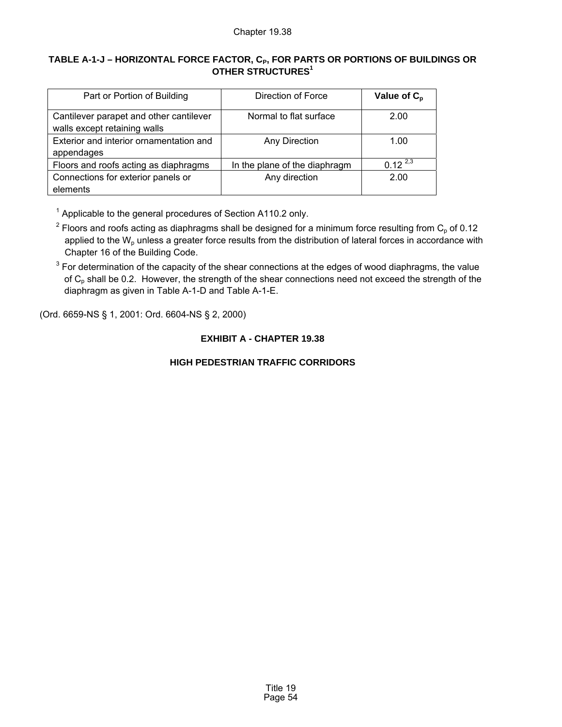# **TABLE A-1-J – HORIZONTAL FORCE FACTOR, CP, FOR PARTS OR PORTIONS OF BUILDINGS OR OTHER STRUCTURES1**

| Part or Portion of Building                                             | Direction of Force            | Value of $C_p$ |
|-------------------------------------------------------------------------|-------------------------------|----------------|
| Cantilever parapet and other cantilever<br>walls except retaining walls | Normal to flat surface        | 2.00           |
| Exterior and interior ornamentation and<br>appendages                   | Any Direction                 | 1.00           |
| Floors and roofs acting as diaphragms                                   | In the plane of the diaphragm | $0.12^{2,3}$   |
| Connections for exterior panels or<br>elements                          | Any direction                 | 2.00           |

 $1$  Applicable to the general procedures of Section A110.2 only.

<sup>2</sup> Floors and roofs acting as diaphragms shall be designed for a minimum force resulting from C<sub>p</sub> of 0.12 applied to the  $W<sub>o</sub>$  unless a greater force results from the distribution of lateral forces in accordance with Chapter 16 of the Building Code.

 $3$  For determination of the capacity of the shear connections at the edges of wood diaphragms, the value of  $C_p$  shall be 0.2. However, the strength of the shear connections need not exceed the strength of the diaphragm as given in Table A-1-D and Table A-1-E.

(Ord. 6659-NS § 1, 2001: Ord. 6604-NS § 2, 2000)

# **EXHIBIT A - CHAPTER 19.38**

# **HIGH PEDESTRIAN TRAFFIC CORRIDORS**